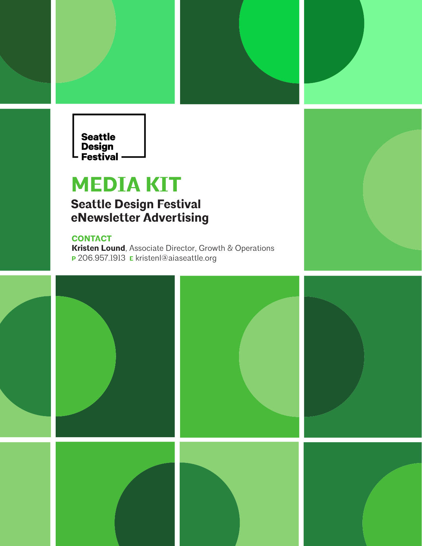

## **MEDIA KIT**

### **Seattle Design Festival eNewsletter Advertising**

#### **CONTACT**

**Kristen Lound**, Associate Director, Growth & Operations **P** 206.957.1913 **E** kristenl@aiaseattle.org

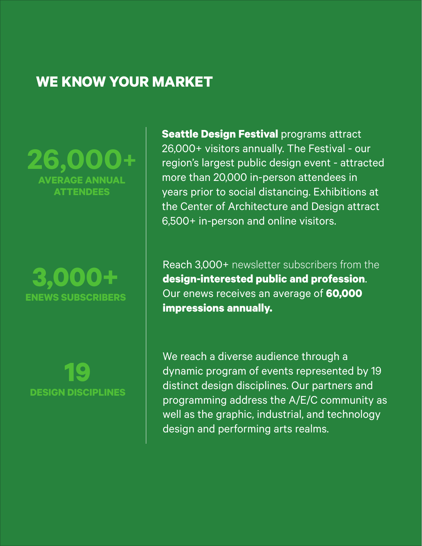## **WE KNOW YOUR MARKET**

**26,000+ ERAGE ANNUAL ATTENDEES**

**3,000+ ENEWS SUBSCRIBERS**

**19 DESIGN DISCIPLINES** **Seattle Design Festival programs attract** 26,000+ visitors annually. The Festival - our region's largest public design event - attracted more than 20,000 in-person attendees in years prior to social distancing. Exhibitions at the Center of Architecture and Design attract 6,500+ in-person and online visitors.

Reach 3,000+ newsletter subscribers from the **design-interested public and profession**. Our enews receives an average of **60,000 impressions annually.** 

We reach a diverse audience through a dynamic program of events represented by 19 distinct design disciplines. Our partners and programming address the A/E/C community as well as the graphic, industrial, and technology design and performing arts realms.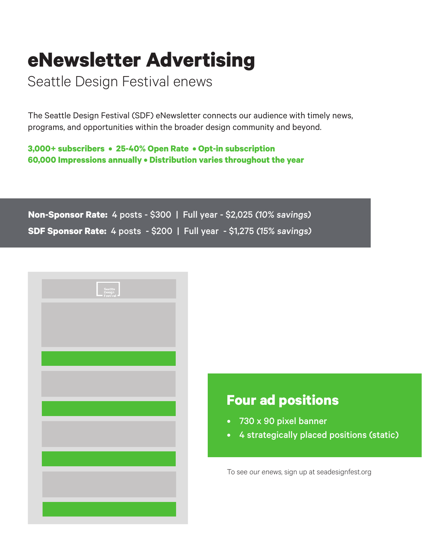# **eNewsletter Advertising**

Seattle Design Festival enews

The Seattle Design Festival (SDF) eNewsletter connects our audience with timely news, programs, and opportunities within the broader design community and beyond.

**3,000+ subscribers • 25-40% Open Rate • Opt-in subscription 60,000 Impressions annually • Distribution varies throughout the year** 

**Non-Sponsor Rate:** 4 posts - \$300 | Full year - \$2,025 (10% savings) **SDF Sponsor Rate:** 4 posts - \$200 | Full year - \$1,275 (15% savings)

| Seattle<br>Design<br>Festival |
|-------------------------------|
|                               |
|                               |
|                               |
|                               |
|                               |
|                               |
|                               |
|                               |
|                               |

## **Four ad positions**

- 730 x 90 pixel banner
- 4 strategically placed positions (static)

To see our enews, sign up at seadesignfest.org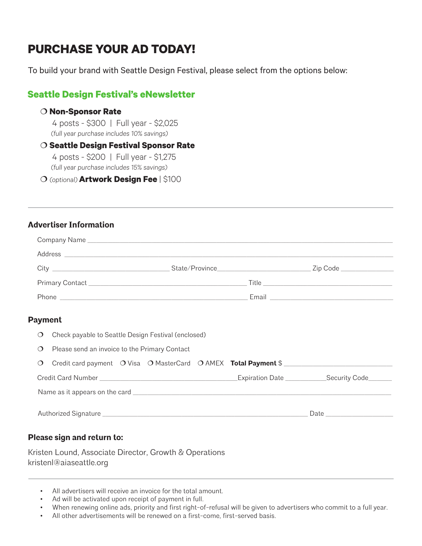## **PURCHASE YOUR AD TODAY!**

To build your brand with Seattle Design Festival, please select from the options below:

### **Seattle Design Festival's eNewsletter**

#### **Non-Sponsor Rate**

4 posts - \$300 | Full year - \$2,025 (full year purchase includes 10% savings)

#### **Seattle Design Festival Sponsor Rate**

4 posts - \$200 | Full year - \$1,275 (full year purchase includes 15% savings)

(optional) **Artwork Design Fee** | \$100

#### **Advertiser Information**

|                                                                                                                                | Zip Code ____________                                 |
|--------------------------------------------------------------------------------------------------------------------------------|-------------------------------------------------------|
|                                                                                                                                | Title <b>The Community of the Community Community</b> |
| Phone<br><u> 1980 - Jan Barbara Barat, martin da basar da basar da basar da basar da basar da basar da basar da basar da b</u> | Email <b>Executive Communist Email</b>                |

#### **Payment**

| $\circ$  | Check payable to Seattle Design Festival (enclosed)                    |                                                                                                                                                                                                                                |  |                                                    |  |  |  |
|----------|------------------------------------------------------------------------|--------------------------------------------------------------------------------------------------------------------------------------------------------------------------------------------------------------------------------|--|----------------------------------------------------|--|--|--|
| $\circ$  | Please send an invoice to the Primary Contact                          |                                                                                                                                                                                                                                |  |                                                    |  |  |  |
| $\Omega$ | Credit card payment O Visa O MasterCard O AMEX <b>Total Payment</b> \$ |                                                                                                                                                                                                                                |  |                                                    |  |  |  |
|          |                                                                        |                                                                                                                                                                                                                                |  | Expiration Date ______________Security Code_______ |  |  |  |
|          |                                                                        |                                                                                                                                                                                                                                |  |                                                    |  |  |  |
|          |                                                                        | Date the control of the control of the control of the control of the control of the control of the control of the control of the control of the control of the control of the control of the control of the control of the con |  |                                                    |  |  |  |

#### **Please sign and return to:**

Kristen Lound, Associate Director, Growth & Operations kristenl@aiaseattle.org

- All advertisers will receive an invoice for the total amount.
- Ad will be activated upon receipt of payment in full.
- When renewing online ads, priority and first right-of-refusal will be given to advertisers who commit to a full year.
- All other advertisements will be renewed on a first-come, first-served basis.